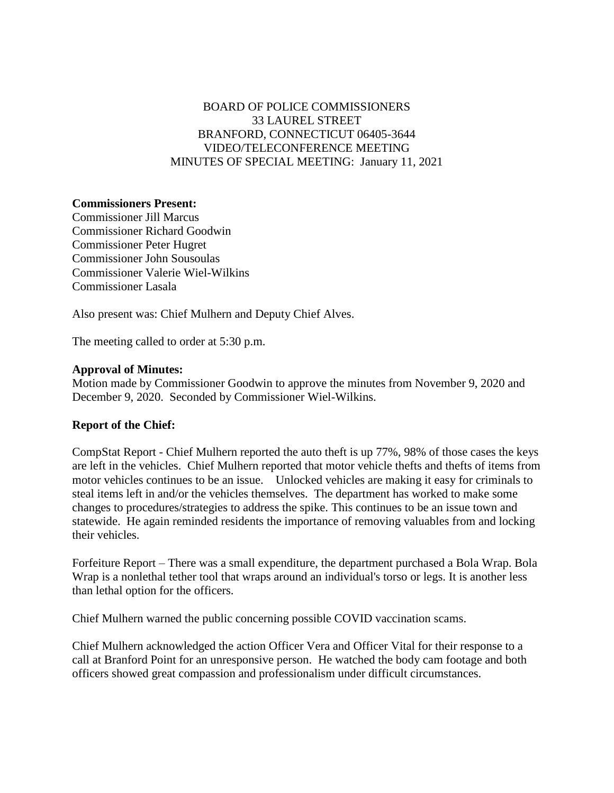# BOARD OF POLICE COMMISSIONERS 33 LAUREL STREET BRANFORD, CONNECTICUT 06405-3644 VIDEO/TELECONFERENCE MEETING MINUTES OF SPECIAL MEETING: January 11, 2021

### **Commissioners Present:**

Commissioner Jill Marcus Commissioner Richard Goodwin Commissioner Peter Hugret Commissioner John Sousoulas Commissioner Valerie Wiel-Wilkins Commissioner Lasala

Also present was: Chief Mulhern and Deputy Chief Alves.

The meeting called to order at 5:30 p.m.

#### **Approval of Minutes:**

Motion made by Commissioner Goodwin to approve the minutes from November 9, 2020 and December 9, 2020. Seconded by Commissioner Wiel-Wilkins.

#### **Report of the Chief:**

CompStat Report - Chief Mulhern reported the auto theft is up 77%, 98% of those cases the keys are left in the vehicles. Chief Mulhern reported that motor vehicle thefts and thefts of items from motor vehicles continues to be an issue. Unlocked vehicles are making it easy for criminals to steal items left in and/or the vehicles themselves. The department has worked to make some changes to procedures/strategies to address the spike. This continues to be an issue town and statewide. He again reminded residents the importance of removing valuables from and locking their vehicles.

Forfeiture Report – There was a small expenditure, the department purchased a Bola Wrap. Bola Wrap is a nonlethal tether tool that wraps around an individual's torso or legs. It is another less than lethal option for the officers.

Chief Mulhern warned the public concerning possible COVID vaccination scams.

Chief Mulhern acknowledged the action Officer Vera and Officer Vital for their response to a call at Branford Point for an unresponsive person. He watched the body cam footage and both officers showed great compassion and professionalism under difficult circumstances.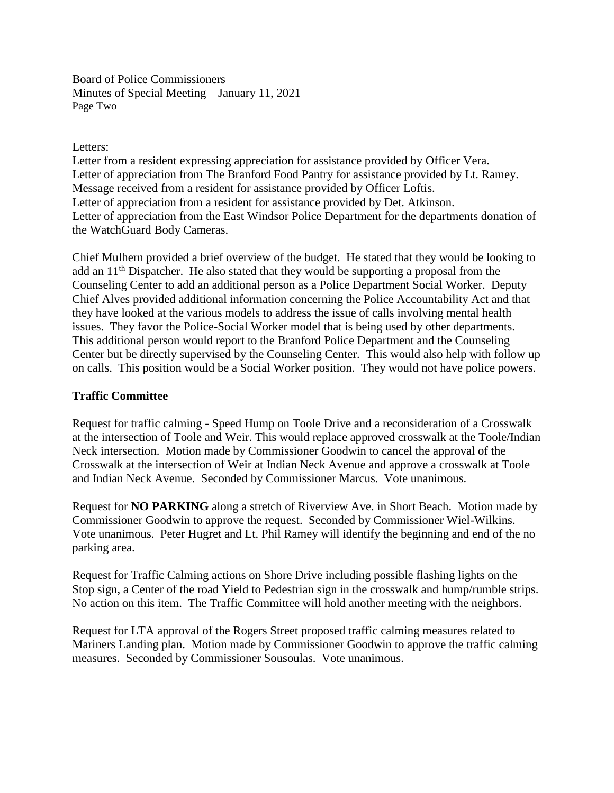Board of Police Commissioners Minutes of Special Meeting – January 11, 2021 Page Two

### Letters:

Letter from a resident expressing appreciation for assistance provided by Officer Vera. Letter of appreciation from The Branford Food Pantry for assistance provided by Lt. Ramey. Message received from a resident for assistance provided by Officer Loftis. Letter of appreciation from a resident for assistance provided by Det. Atkinson. Letter of appreciation from the East Windsor Police Department for the departments donation of the WatchGuard Body Cameras.

Chief Mulhern provided a brief overview of the budget. He stated that they would be looking to add an  $11<sup>th</sup>$  Dispatcher. He also stated that they would be supporting a proposal from the Counseling Center to add an additional person as a Police Department Social Worker. Deputy Chief Alves provided additional information concerning the Police Accountability Act and that they have looked at the various models to address the issue of calls involving mental health issues. They favor the Police-Social Worker model that is being used by other departments. This additional person would report to the Branford Police Department and the Counseling Center but be directly supervised by the Counseling Center. This would also help with follow up on calls. This position would be a Social Worker position. They would not have police powers.

## **Traffic Committee**

Request for traffic calming - Speed Hump on Toole Drive and a reconsideration of a Crosswalk at the intersection of Toole and Weir. This would replace approved crosswalk at the Toole/Indian Neck intersection. Motion made by Commissioner Goodwin to cancel the approval of the Crosswalk at the intersection of Weir at Indian Neck Avenue and approve a crosswalk at Toole and Indian Neck Avenue. Seconded by Commissioner Marcus. Vote unanimous.

Request for **NO PARKING** along a stretch of Riverview Ave. in Short Beach. Motion made by Commissioner Goodwin to approve the request. Seconded by Commissioner Wiel-Wilkins. Vote unanimous. Peter Hugret and Lt. Phil Ramey will identify the beginning and end of the no parking area.

Request for Traffic Calming actions on Shore Drive including possible flashing lights on the Stop sign, a Center of the road Yield to Pedestrian sign in the crosswalk and hump/rumble strips. No action on this item. The Traffic Committee will hold another meeting with the neighbors.

Request for LTA approval of the Rogers Street proposed traffic calming measures related to Mariners Landing plan. Motion made by Commissioner Goodwin to approve the traffic calming measures. Seconded by Commissioner Sousoulas. Vote unanimous.